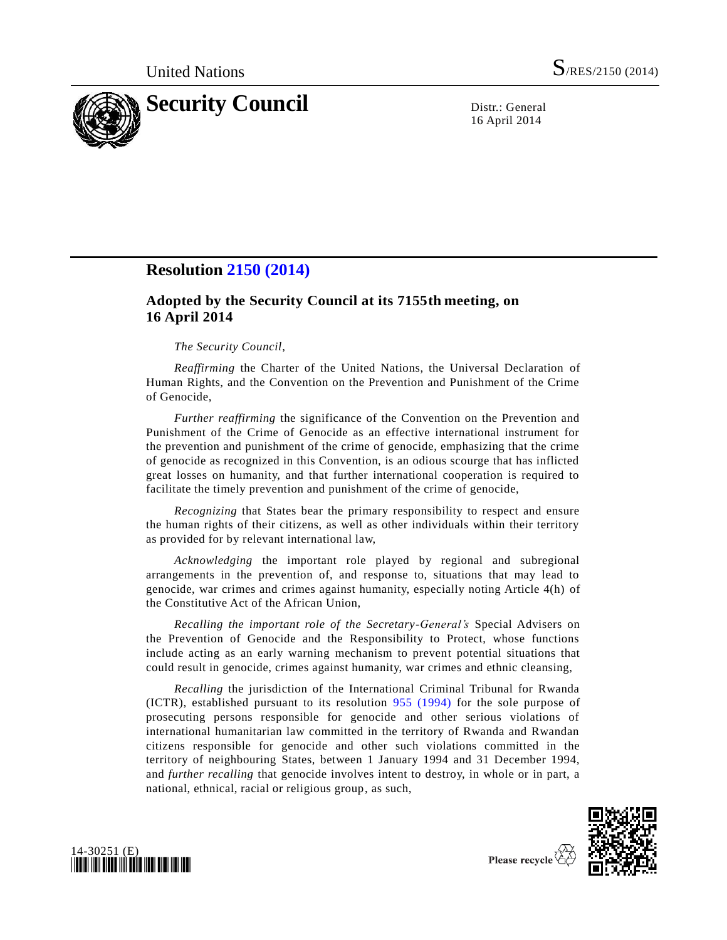

16 April 2014

## **Resolution [2150 \(2014\)](http://undocs.org/S/RES/2150(2014))**

## **Adopted by the Security Council at its 7155th meeting, on 16 April 2014**

## *The Security Council*,

*Reaffirming* the Charter of the United Nations, the Universal Declaration of Human Rights, and the Convention on the Prevention and Punishment of the Crime of Genocide,

*Further reaffirming* the significance of the Convention on the Prevention and Punishment of the Crime of Genocide as an effective international instrument for the prevention and punishment of the crime of genocide, emphasizing that the crime of genocide as recognized in this Convention, is an odious scourge that has inflicted great losses on humanity, and that further international cooperation is required to facilitate the timely prevention and punishment of the crime of genocide,

*Recognizing* that States bear the primary responsibility to respect and ensure the human rights of their citizens, as well as other individuals within their territory as provided for by relevant international law,

*Acknowledging* the important role played by regional and subregional arrangements in the prevention of, and response to, situations that may lead to genocide, war crimes and crimes against humanity, especially noting Article 4(h) of the Constitutive Act of the African Union,

*Recalling the important role of the Secretary-General's* Special Advisers on the Prevention of Genocide and the Responsibility to Protect, whose functions include acting as an early warning mechanism to prevent potential situations that could result in genocide, crimes against humanity, war crimes and ethnic cleansing,

*Recalling* the jurisdiction of the International Criminal Tribunal for Rwanda (ICTR), established pursuant to its resolution [955 \(1994\)](http://undocs.org/S/RES/955(1994)) for the sole purpose of prosecuting persons responsible for genocide and other serious violations of international humanitarian law committed in the territory of Rwanda and Rwandan citizens responsible for genocide and other such violations committed in the territory of neighbouring States, between 1 January 1994 and 31 December 1994, and *further recalling* that genocide involves intent to destroy, in whole or in part, a national, ethnical, racial or religious group, as such,





Please recycle  $\overline{\overline{X}}$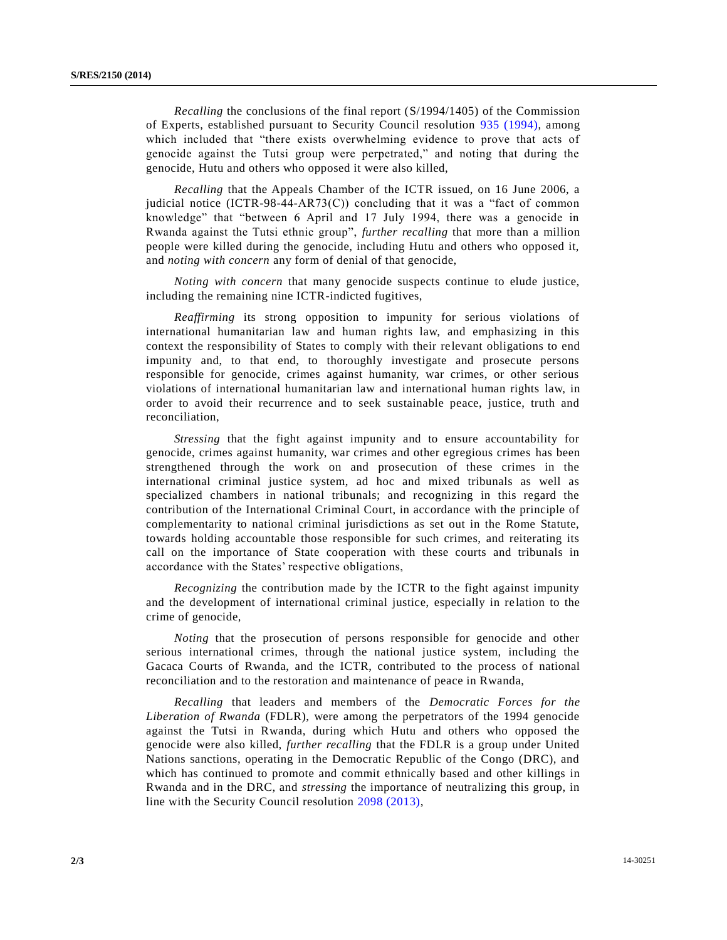*Recalling* the conclusions of the final report [\(S/1994/1405\)](http://undocs.org/S/1994/1405) of the Commission of Experts, established pursuant to Security Council resolution [935 \(1994\),](http://undocs.org/S/RES/935(1994)) among which included that "there exists overwhelming evidence to prove that acts of genocide against the Tutsi group were perpetrated," and noting that during the genocide, Hutu and others who opposed it were also killed,

*Recalling* that the Appeals Chamber of the ICTR issued, on 16 June 2006, a judicial notice  $(ICTR-98-44-ART3(C))$  concluding that it was a "fact of common knowledge" that "between 6 April and 17 July 1994, there was a genocide in Rwanda against the Tutsi ethnic group", *further recalling* that more than a million people were killed during the genocide, including Hutu and others who opposed it, and *noting with concern* any form of denial of that genocide,

*Noting with concern* that many genocide suspects continue to elude justice, including the remaining nine ICTR-indicted fugitives,

*Reaffirming* its strong opposition to impunity for serious violations of international humanitarian law and human rights law, and emphasizing in this context the responsibility of States to comply with their re levant obligations to end impunity and, to that end, to thoroughly investigate and prosecute persons responsible for genocide, crimes against humanity, war crimes, or other serious violations of international humanitarian law and international human rights law, in order to avoid their recurrence and to seek sustainable peace, justice, truth and reconciliation,

*Stressing* that the fight against impunity and to ensure accountability for genocide, crimes against humanity, war crimes and other egregious crimes has been strengthened through the work on and prosecution of these crimes in the international criminal justice system, ad hoc and mixed tribunals as well as specialized chambers in national tribunals; and recognizing in this regard the contribution of the International Criminal Court, in accordance with the principle of complementarity to national criminal jurisdictions as set out in the Rome Statute, towards holding accountable those responsible for such crimes, and reiterating its call on the importance of State cooperation with these courts and tribunals in accordance with the States' respective obligations,

*Recognizing* the contribution made by the ICTR to the fight against impunity and the development of international criminal justice, especially in relation to the crime of genocide,

*Noting* that the prosecution of persons responsible for genocide and other serious international crimes, through the national justice system, including the Gacaca Courts of Rwanda, and the ICTR, contributed to the process of national reconciliation and to the restoration and maintenance of peace in Rwanda,

*Recalling* that leaders and members of the *Democratic Forces for the Liberation of Rwanda* (FDLR), were among the perpetrators of the 1994 genocide against the Tutsi in Rwanda, during which Hutu and others who opposed the genocide were also killed, *further recalling* that the FDLR is a group under United Nations sanctions, operating in the Democratic Republic of the Congo (DRC), and which has continued to promote and commit ethnically based and other killings in Rwanda and in the DRC, and *stressing* the importance of neutralizing this group, in line with the Security Council resolution [2098 \(2013\),](http://undocs.org/S/RES/2098(2013))